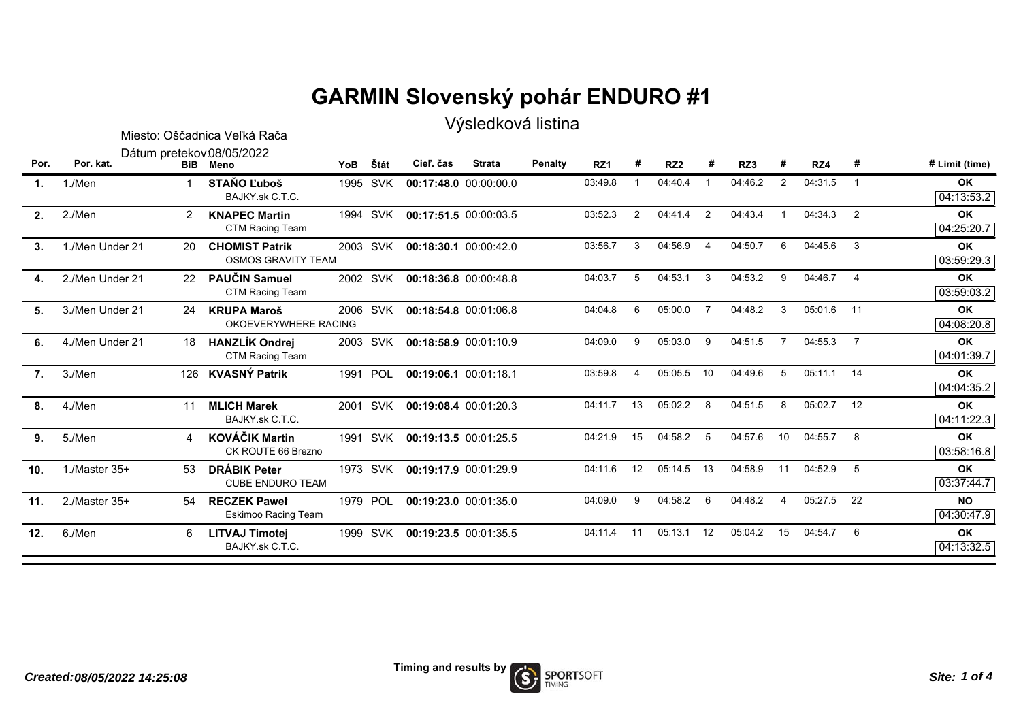## **GARMIN Slovenský pohár ENDURO #1**

Výsledková listina

|      |                    |                | Miesto: Oščadnica Veľká Rača                       | $, 1, 2, 3, 4, 5, 6, 7, 8, 7, 8, 7, 8, 7, 8, 7, 8, 7, 8, 7, 8, 7, 8, 7, 8, 7, 8, 7, 8, 7, 8, 7, 8, 7, 8, 7, 8, 7, 8, 7, 8, 7, 8, 7, 8, 7, 8, 7, 8, 7, 8, 7, 8, 7, 8, 7, 8, 7, 8, 7, 8, 7, 8, 7, 8, 7, 8, 7, 8, 7, 8, 7, 8, 7,$ |            |                       |               |                |                 |    |                 |                |         |                |            |                         |                         |
|------|--------------------|----------------|----------------------------------------------------|--------------------------------------------------------------------------------------------------------------------------------------------------------------------------------------------------------------------------------|------------|-----------------------|---------------|----------------|-----------------|----|-----------------|----------------|---------|----------------|------------|-------------------------|-------------------------|
| Por. | Por. kat.          |                | Dátum pretekov 08/05/2022<br><b>BiB</b> Meno       | <b>YoB</b>                                                                                                                                                                                                                     | Štát       | Cieľ, čas             | <b>Strata</b> | <b>Penalty</b> | RZ <sub>1</sub> | #  | RZ <sub>2</sub> |                | RZ3     | #              | RZ4        | #                       | # Limit (time)          |
| 1.   | 1./Men             |                | <b>STANO L'uboš</b><br>BAJKY.sk C.T.C.             |                                                                                                                                                                                                                                | 1995 SVK   | 00:17:48.0 00:00:00.0 |               |                | 03:49.8         |    | 04:40.4         |                | 04:46.2 | 2              | 04:31.5    | $\overline{1}$          | OK<br>04:13:53.2        |
| 2.   | 2./Men             | $\overline{2}$ | <b>KNAPEC Martin</b><br>CTM Racing Team            | 1994                                                                                                                                                                                                                           | <b>SVK</b> | 00:17:51.5 00:00:03.5 |               |                | 03:52.3         | 2  | 04:41.4         | 2              | 04:43.4 |                | 04:34.3    | $\overline{2}$          | OK<br>04:25:20.7        |
| 3.   | 1./Men Under 21    | 20             | <b>CHOMIST Patrik</b><br><b>OSMOS GRAVITY TEAM</b> |                                                                                                                                                                                                                                | 2003 SVK   | 00:18:30.1 00:00:42.0 |               |                | 03:56.7         | 3  | 04:56.9         | $\overline{4}$ | 04:50.7 | 6              | 04:45.6    | $\overline{\mathbf{3}}$ | OK<br>03:59:29.3        |
| 4.   | 2./Men Under 21    | 22             | <b>PAUČIN Samuel</b><br>CTM Racing Team            |                                                                                                                                                                                                                                | 2002 SVK   | 00:18:36.8 00:00:48.8 |               |                | 04:03.7         | 5  | 04:53.1         | 3              | 04:53.2 | 9              | 04:46.7    | $\overline{4}$          | <b>OK</b><br>03:59:03.2 |
| 5.   | 3./Men Under 21    | 24             | <b>KRUPA Maroš</b><br>OKOEVERYWHERE RACING         | 2006                                                                                                                                                                                                                           | <b>SVK</b> | 00:18:54.8 00:01:06.8 |               |                | 04:04.8         | 6  | 05:00.0         | $\overline{7}$ | 04:48.2 | 3              | 05:01.6    | 11                      | OK<br>04:08:20.8        |
| 6.   | 4./Men Under 21    | 18             | <b>HANZLÍK Ondrej</b><br>CTM Racing Team           | 2003                                                                                                                                                                                                                           | SVK        | 00:18:58.9 00:01:10.9 |               |                | 04:09.0         | 9  | 05:03.0         | 9              | 04:51.5 | $\overline{7}$ | 04:55.3    | $\overline{7}$          | <b>OK</b><br>04:01:39.7 |
| 7.   | 3./Men             |                | 126 KVASNÝ Patrik                                  |                                                                                                                                                                                                                                | 1991 POL   | 00:19:06.1 00:01:18.1 |               |                | 03:59.8         | 4  | 05:05.5         | 10             | 04:49.6 | 5              | 05:11.1 14 |                         | OK<br>04:04:35.2        |
| 8.   | 4./Men             | 11             | <b>MLICH Marek</b><br>BAJKY.sk C.T.C.              | 2001                                                                                                                                                                                                                           | SVK        | 00:19:08.4 00:01:20.3 |               |                | 04:11.7         | 13 | 05:02.2         | 8              | 04:51.5 | 8              | 05:02.7    | 12                      | OK<br>04:11:22.3        |
| 9.   | 5./Men             | 4              | <b>KOVÁČIK Martin</b><br>CK ROUTE 66 Brezno        | 1991                                                                                                                                                                                                                           | SVK        | 00:19:13.5 00:01:25.5 |               |                | 04:21.9         | 15 | 04:58.2         | -5             | 04:57.6 | 10             | 04:55.7    | -8                      | OK<br>03:58:16.8        |
| 10.  | $1$ ./Master 35+   | 53             | <b>DRÁBIK Peter</b><br><b>CUBE ENDURO TEAM</b>     |                                                                                                                                                                                                                                | 1973 SVK   | 00:19:17.9 00:01:29.9 |               |                | 04:11.6         | 12 | 05:14.5         | 13             | 04:58.9 | 11             | 04:52.9    | $-5$                    | OK<br>03:37:44.7        |
| 11.  | $2$ ./Master $35+$ | 54             | <b>RECZEK Paweł</b><br>Eskimoo Racing Team         |                                                                                                                                                                                                                                | 1979 POL   | 00:19:23.0 00:01:35.0 |               |                | 04:09.0         | 9  | 04:58.2         | 6              | 04:48.2 | 4              | 05:27.5    | 22                      | <b>NO</b><br>04:30:47.9 |
| 12.  | 6./Men             | 6              | <b>LITVAJ Timotej</b><br>BAJKY sk C.T.C.           |                                                                                                                                                                                                                                | 1999 SVK   | 00:19:23.5 00:01:35.5 |               |                | 04:11.4         | 11 | 05:13.1         | 12             | 05:04.2 | 15             | 04:54.7    | - 6                     | <b>OK</b><br>04:13:32.5 |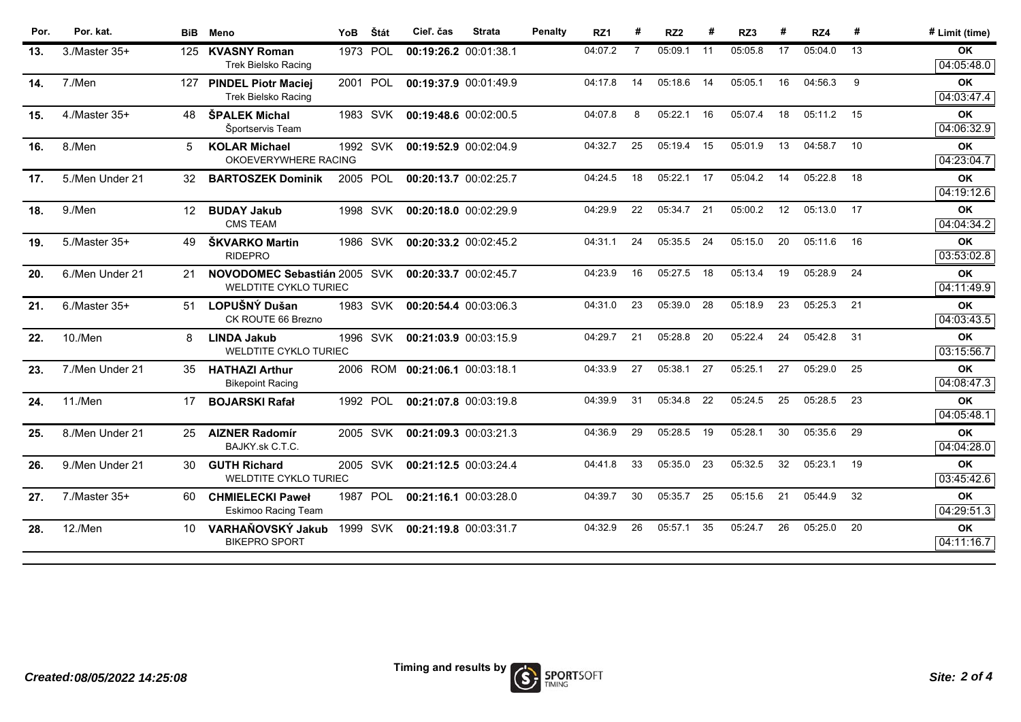| 04:07.2<br>05:09.1<br>05:05.8<br>17<br>05:04.0<br>13<br>1973<br>POL<br>7<br>11<br>3./Master 35+<br>125<br><b>KVASNY Roman</b><br>00:19:26.2 00:01:38.1<br>13.<br><b>Trek Bielsko Racing</b><br>04:17.8<br>05:18.6<br>05:05.1<br>16<br>04:56.3<br>9<br>2001 POL<br>14<br>14<br>14.<br>7./Men<br><b>PINDEL Piotr Maciej</b><br>00:19:37.9 00:01:49.9<br>127<br><b>Trek Bielsko Racing</b><br><b>ŠPALEK Michal</b><br>04:07.8<br>8<br>05:22.1<br>16<br>05:07.4<br>18<br>05:11.2 15<br>4./Master 35+<br>1983 SVK<br>00:19:48.6 00:02:00.5<br>15.<br>48<br>Športservis Team<br>04:32.7<br>25<br>15<br>05:01.9<br>13<br>04:58.7<br>10<br>05:19.4<br>8./Men<br>5<br><b>KOLAR Michael</b><br>1992 SVK<br>00:19:52.9 00:02:04.9<br>16.<br>OKOEVERYWHERE RACING<br>04:24.5<br>18<br>05:22.1<br>17<br>05:04.2<br>14<br>05:22.8<br>18<br>5./Men Under 21<br>2005 POL<br><b>BARTOSZEK Dominik</b><br>00:20:13.7 00:02:25.7<br>17.<br>32<br>04:29.9<br>22<br>17<br><b>BUDAY Jakub</b><br>05:34.7<br>21<br>05:00.2<br>12<br>05:13.0<br>9./Men<br>12<br>1998 SVK<br>00:20:18.0 00:02:29.9<br>18.<br><b>CMS TEAM</b><br>ŠKVARKO Martin<br>24<br>20<br>05:11.6<br>04:31.1<br>05:35.5<br>-24<br>05:15.0<br>- 16<br>19.<br>5./Master 35+<br>1986 SVK<br>00:20:33.2 00:02:45.2<br>49<br><b>RIDEPRO</b><br>05:28.9<br>04:23.9<br>16<br>05:27.5<br>18<br>05:13.4<br>19<br>24<br>NOVODOMEC Sebastián 2005 SVK<br>00:20:33.7 00:02:45.7<br>20.<br>6./Men Under 21<br>21<br><b>WELDTITE CYKLO TURIEC</b><br>04:31.0<br>23<br>05:39.0<br>28<br>05:18.9<br>23<br>05:25.3<br>21<br>LOPUŠNÝ Dušan<br>1983 SVK<br>6./Master 35+<br>21.<br>51<br>00:20:54.4 00:03:06.3<br>CK ROUTE 66 Brezno<br>04:29.7<br>21<br>05:28.8<br>05:22.4<br>24<br>05:42.8<br>31<br>20<br>10./Men<br>1996 SVK<br>8<br><b>LINDA Jakub</b><br>00:21:03.9 00:03:15.9<br>22.<br><b>WELDTITE CYKLO TURIEC</b><br>04:33.9<br>27<br>05:38.1<br>05:29.0<br>25<br>27<br>05:25.1<br>27<br>7./Men Under 21<br><b>HATHAZI Arthur</b><br>2006 ROM<br>00:21:06.1 00:03:18.1<br>23.<br>35<br><b>Bikepoint Racing</b><br>22<br>25<br>05:28.5<br>23<br>04:39.9<br>31<br>05:34.8<br>05:24.5<br>1992 POL<br>11./Men<br>17<br><b>BOJARSKI Rafał</b><br>00:21:07.8 00:03:19.8<br>24.<br>04:36.9<br>29<br>05:28.5<br>19<br>05:28.1<br>30<br>05:35.6<br>29<br>8./Men Under 21<br>2005 SVK<br>00:21:09.3 00:03:21.3<br><b>AIZNER Radomír</b><br>25.<br>25<br>BAJKY.sk C.T.C.<br>05:23.1<br>19<br>04:41.8<br>33<br>05:35.0<br>23<br>05:32.5<br>32<br>9./Men Under 21<br>2005 SVK<br><b>GUTH Richard</b><br>00:21:12.5 00:03:24.4<br>26.<br>30<br><b>WELDTITE CYKLO TURIEC</b><br>32<br><b>POL</b><br>04:39.7<br>30<br>05:35.7<br>25<br>05:15.6<br>21<br>05:44.9<br>$7$ ./Master 35+<br><b>CHMIELECKI Paweł</b><br>1987<br>00:21:16.1 00:03:28.0<br>27.<br>60<br>Eskimoo Racing Team<br>VARHAŇOVSKÝ Jakub<br>12./Men<br>04:32.9<br>26<br>05:57.1<br>35<br>05:24.7<br>26<br>05:25.0<br>20<br>1999 SVK<br>28.<br>00:21:19.8 00:03:31.7 | Por. | Por. kat. | <b>BiB</b> | Meno | YoB | Štát | Cieľ. čas | <b>Strata</b> | Penalty | RZ1 | RZ <sub>2</sub> | RZ3 | RZ4 | # | # Limit (time)          |
|------------------------------------------------------------------------------------------------------------------------------------------------------------------------------------------------------------------------------------------------------------------------------------------------------------------------------------------------------------------------------------------------------------------------------------------------------------------------------------------------------------------------------------------------------------------------------------------------------------------------------------------------------------------------------------------------------------------------------------------------------------------------------------------------------------------------------------------------------------------------------------------------------------------------------------------------------------------------------------------------------------------------------------------------------------------------------------------------------------------------------------------------------------------------------------------------------------------------------------------------------------------------------------------------------------------------------------------------------------------------------------------------------------------------------------------------------------------------------------------------------------------------------------------------------------------------------------------------------------------------------------------------------------------------------------------------------------------------------------------------------------------------------------------------------------------------------------------------------------------------------------------------------------------------------------------------------------------------------------------------------------------------------------------------------------------------------------------------------------------------------------------------------------------------------------------------------------------------------------------------------------------------------------------------------------------------------------------------------------------------------------------------------------------------------------------------------------------------------------------------------------------------------------------------------------------------------------------------------------------------------------------------------------------------------------------------------------------------------------------------------------------------------------------------------------------------------------------------------------------------------------------------------------------------------------------------------|------|-----------|------------|------|-----|------|-----------|---------------|---------|-----|-----------------|-----|-----|---|-------------------------|
|                                                                                                                                                                                                                                                                                                                                                                                                                                                                                                                                                                                                                                                                                                                                                                                                                                                                                                                                                                                                                                                                                                                                                                                                                                                                                                                                                                                                                                                                                                                                                                                                                                                                                                                                                                                                                                                                                                                                                                                                                                                                                                                                                                                                                                                                                                                                                                                                                                                                                                                                                                                                                                                                                                                                                                                                                                                                                                                                                      |      |           |            |      |     |      |           |               |         |     |                 |     |     |   | OK<br>04:05:48.0        |
|                                                                                                                                                                                                                                                                                                                                                                                                                                                                                                                                                                                                                                                                                                                                                                                                                                                                                                                                                                                                                                                                                                                                                                                                                                                                                                                                                                                                                                                                                                                                                                                                                                                                                                                                                                                                                                                                                                                                                                                                                                                                                                                                                                                                                                                                                                                                                                                                                                                                                                                                                                                                                                                                                                                                                                                                                                                                                                                                                      |      |           |            |      |     |      |           |               |         |     |                 |     |     |   | <b>OK</b><br>04:03:47.4 |
|                                                                                                                                                                                                                                                                                                                                                                                                                                                                                                                                                                                                                                                                                                                                                                                                                                                                                                                                                                                                                                                                                                                                                                                                                                                                                                                                                                                                                                                                                                                                                                                                                                                                                                                                                                                                                                                                                                                                                                                                                                                                                                                                                                                                                                                                                                                                                                                                                                                                                                                                                                                                                                                                                                                                                                                                                                                                                                                                                      |      |           |            |      |     |      |           |               |         |     |                 |     |     |   | <b>OK</b><br>04:06:32.9 |
|                                                                                                                                                                                                                                                                                                                                                                                                                                                                                                                                                                                                                                                                                                                                                                                                                                                                                                                                                                                                                                                                                                                                                                                                                                                                                                                                                                                                                                                                                                                                                                                                                                                                                                                                                                                                                                                                                                                                                                                                                                                                                                                                                                                                                                                                                                                                                                                                                                                                                                                                                                                                                                                                                                                                                                                                                                                                                                                                                      |      |           |            |      |     |      |           |               |         |     |                 |     |     |   | <b>OK</b><br>04:23:04.7 |
|                                                                                                                                                                                                                                                                                                                                                                                                                                                                                                                                                                                                                                                                                                                                                                                                                                                                                                                                                                                                                                                                                                                                                                                                                                                                                                                                                                                                                                                                                                                                                                                                                                                                                                                                                                                                                                                                                                                                                                                                                                                                                                                                                                                                                                                                                                                                                                                                                                                                                                                                                                                                                                                                                                                                                                                                                                                                                                                                                      |      |           |            |      |     |      |           |               |         |     |                 |     |     |   | <b>OK</b><br>04:19:12.6 |
|                                                                                                                                                                                                                                                                                                                                                                                                                                                                                                                                                                                                                                                                                                                                                                                                                                                                                                                                                                                                                                                                                                                                                                                                                                                                                                                                                                                                                                                                                                                                                                                                                                                                                                                                                                                                                                                                                                                                                                                                                                                                                                                                                                                                                                                                                                                                                                                                                                                                                                                                                                                                                                                                                                                                                                                                                                                                                                                                                      |      |           |            |      |     |      |           |               |         |     |                 |     |     |   | <b>OK</b><br>04:04:34.2 |
|                                                                                                                                                                                                                                                                                                                                                                                                                                                                                                                                                                                                                                                                                                                                                                                                                                                                                                                                                                                                                                                                                                                                                                                                                                                                                                                                                                                                                                                                                                                                                                                                                                                                                                                                                                                                                                                                                                                                                                                                                                                                                                                                                                                                                                                                                                                                                                                                                                                                                                                                                                                                                                                                                                                                                                                                                                                                                                                                                      |      |           |            |      |     |      |           |               |         |     |                 |     |     |   | <b>OK</b><br>03:53:02.8 |
|                                                                                                                                                                                                                                                                                                                                                                                                                                                                                                                                                                                                                                                                                                                                                                                                                                                                                                                                                                                                                                                                                                                                                                                                                                                                                                                                                                                                                                                                                                                                                                                                                                                                                                                                                                                                                                                                                                                                                                                                                                                                                                                                                                                                                                                                                                                                                                                                                                                                                                                                                                                                                                                                                                                                                                                                                                                                                                                                                      |      |           |            |      |     |      |           |               |         |     |                 |     |     |   | OK<br>04:11:49.9        |
|                                                                                                                                                                                                                                                                                                                                                                                                                                                                                                                                                                                                                                                                                                                                                                                                                                                                                                                                                                                                                                                                                                                                                                                                                                                                                                                                                                                                                                                                                                                                                                                                                                                                                                                                                                                                                                                                                                                                                                                                                                                                                                                                                                                                                                                                                                                                                                                                                                                                                                                                                                                                                                                                                                                                                                                                                                                                                                                                                      |      |           |            |      |     |      |           |               |         |     |                 |     |     |   | <b>OK</b><br>04:03:43.5 |
|                                                                                                                                                                                                                                                                                                                                                                                                                                                                                                                                                                                                                                                                                                                                                                                                                                                                                                                                                                                                                                                                                                                                                                                                                                                                                                                                                                                                                                                                                                                                                                                                                                                                                                                                                                                                                                                                                                                                                                                                                                                                                                                                                                                                                                                                                                                                                                                                                                                                                                                                                                                                                                                                                                                                                                                                                                                                                                                                                      |      |           |            |      |     |      |           |               |         |     |                 |     |     |   | OK<br>03:15:56.7        |
|                                                                                                                                                                                                                                                                                                                                                                                                                                                                                                                                                                                                                                                                                                                                                                                                                                                                                                                                                                                                                                                                                                                                                                                                                                                                                                                                                                                                                                                                                                                                                                                                                                                                                                                                                                                                                                                                                                                                                                                                                                                                                                                                                                                                                                                                                                                                                                                                                                                                                                                                                                                                                                                                                                                                                                                                                                                                                                                                                      |      |           |            |      |     |      |           |               |         |     |                 |     |     |   | OK<br>04:08:47.3        |
|                                                                                                                                                                                                                                                                                                                                                                                                                                                                                                                                                                                                                                                                                                                                                                                                                                                                                                                                                                                                                                                                                                                                                                                                                                                                                                                                                                                                                                                                                                                                                                                                                                                                                                                                                                                                                                                                                                                                                                                                                                                                                                                                                                                                                                                                                                                                                                                                                                                                                                                                                                                                                                                                                                                                                                                                                                                                                                                                                      |      |           |            |      |     |      |           |               |         |     |                 |     |     |   | <b>OK</b><br>04:05:48.1 |
|                                                                                                                                                                                                                                                                                                                                                                                                                                                                                                                                                                                                                                                                                                                                                                                                                                                                                                                                                                                                                                                                                                                                                                                                                                                                                                                                                                                                                                                                                                                                                                                                                                                                                                                                                                                                                                                                                                                                                                                                                                                                                                                                                                                                                                                                                                                                                                                                                                                                                                                                                                                                                                                                                                                                                                                                                                                                                                                                                      |      |           |            |      |     |      |           |               |         |     |                 |     |     |   | <b>OK</b><br>04:04:28.0 |
|                                                                                                                                                                                                                                                                                                                                                                                                                                                                                                                                                                                                                                                                                                                                                                                                                                                                                                                                                                                                                                                                                                                                                                                                                                                                                                                                                                                                                                                                                                                                                                                                                                                                                                                                                                                                                                                                                                                                                                                                                                                                                                                                                                                                                                                                                                                                                                                                                                                                                                                                                                                                                                                                                                                                                                                                                                                                                                                                                      |      |           |            |      |     |      |           |               |         |     |                 |     |     |   | <b>OK</b><br>03:45:42.6 |
|                                                                                                                                                                                                                                                                                                                                                                                                                                                                                                                                                                                                                                                                                                                                                                                                                                                                                                                                                                                                                                                                                                                                                                                                                                                                                                                                                                                                                                                                                                                                                                                                                                                                                                                                                                                                                                                                                                                                                                                                                                                                                                                                                                                                                                                                                                                                                                                                                                                                                                                                                                                                                                                                                                                                                                                                                                                                                                                                                      |      |           |            |      |     |      |           |               |         |     |                 |     |     |   | <b>OK</b><br>04:29:51.3 |
| <b>BIKEPRO SPORT</b>                                                                                                                                                                                                                                                                                                                                                                                                                                                                                                                                                                                                                                                                                                                                                                                                                                                                                                                                                                                                                                                                                                                                                                                                                                                                                                                                                                                                                                                                                                                                                                                                                                                                                                                                                                                                                                                                                                                                                                                                                                                                                                                                                                                                                                                                                                                                                                                                                                                                                                                                                                                                                                                                                                                                                                                                                                                                                                                                 |      |           |            |      |     |      |           |               |         |     |                 |     |     |   | <b>OK</b><br>04:11:16.7 |

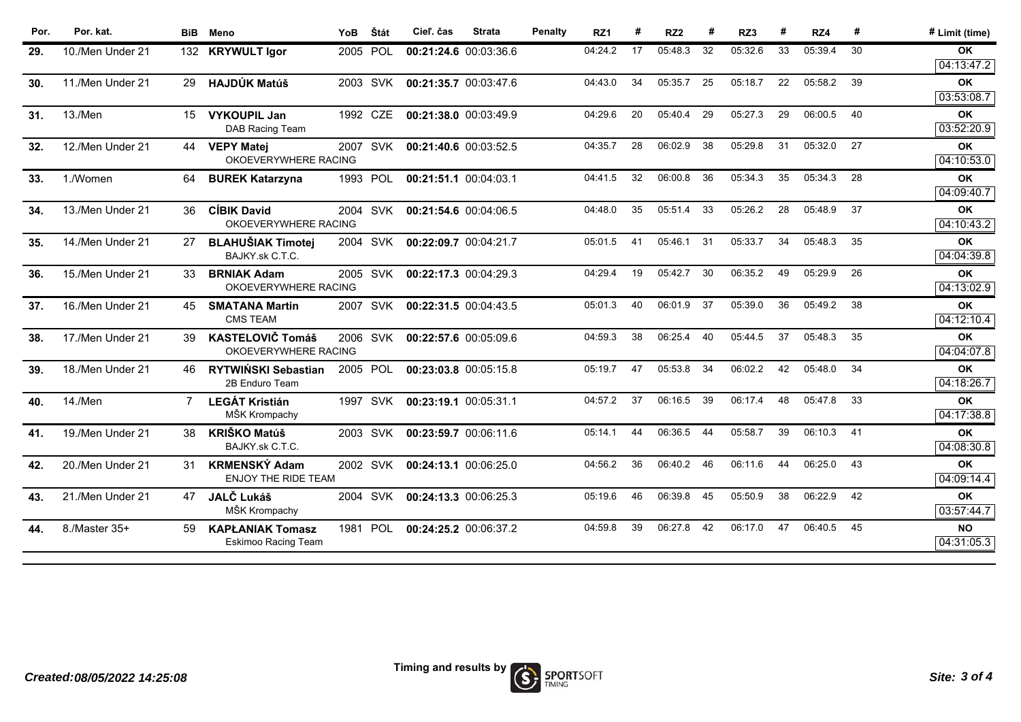| Por. | Por. kat.        | <b>BiB</b> | Meno                                               | YoB      | Štát       | Cieľ. čas             | <b>Strata</b> | <b>Penalty</b> | RZ <sub>1</sub> | #  | RZ <sub>2</sub> |    | RZ3     |    | RZ4     | #  | # Limit (time)          |
|------|------------------|------------|----------------------------------------------------|----------|------------|-----------------------|---------------|----------------|-----------------|----|-----------------|----|---------|----|---------|----|-------------------------|
| 29.  | 10./Men Under 21 |            | 132 KRYWULT Igor                                   | 2005     | POL        | 00:21:24.6 00:03:36.6 |               |                | 04:24.2         | 17 | 05:48.3         | 32 | 05:32.6 | 33 | 05:39.4 | 30 | OK<br>04:13:47.2        |
| 30.  | 11./Men Under 21 | 29         | <b>HAJDÚK Matúš</b>                                |          | 2003 SVK   | 00:21:35.7 00:03:47.6 |               |                | 04:43.0         | 34 | 05:35.7         | 25 | 05:18.7 | 22 | 05:58.2 | 39 | <b>OK</b><br>03:53:08.7 |
| 31.  | 13./Men          | 15         | <b>VYKOUPIL Jan</b><br>DAB Racing Team             | 1992     | <b>CZE</b> | 00:21:38.0 00:03:49.9 |               |                | 04:29.6         | 20 | 05:40.4         | 29 | 05:27.3 | 29 | 06:00.5 | 40 | <b>OK</b><br>03:52:20.9 |
| 32.  | 12./Men Under 21 | 44         | <b>VEPY Matei</b><br>OKOEVERYWHERE RACING          |          | 2007 SVK   | 00:21:40.6 00:03:52.5 |               |                | 04:35.7         | 28 | 06:02.9         | 38 | 05:29.8 | 31 | 05:32.0 | 27 | OK<br>04:10:53.0        |
| 33.  | 1./Women         | 64         | <b>BUREK Katarzyna</b>                             | 1993     | <b>POL</b> | 00:21:51.1 00:04:03.1 |               |                | 04:41.5         | 32 | 06:00.8         | 36 | 05:34.3 | 35 | 05:34.3 | 28 | OK<br>04:09:40.7        |
| 34.  | 13./Men Under 21 | 36         | <b>CÍBIK David</b><br>OKOEVERYWHERE RACING         |          | 2004 SVK   | 00:21:54.6 00:04:06.5 |               |                | 04:48.0         | 35 | 05:51.4         | 33 | 05:26.2 | 28 | 05:48.9 | 37 | <b>OK</b><br>04:10:43.2 |
| 35.  | 14./Men Under 21 |            | <b>BLAHUŠIAK Timotei</b><br>BAJKY.sk C.T.C.        |          | 2004 SVK   | 00:22:09.7 00:04:21.7 |               |                | 05:01.5         | 41 | 05:46.1         | 31 | 05:33.7 | 34 | 05:48.3 | 35 | <b>OK</b><br>04:04:39.8 |
| 36.  | 15./Men Under 21 | 33         | <b>BRNIAK Adam</b><br>OKOEVERYWHERE RACING         |          | 2005 SVK   | 00:22:17.3 00:04:29.3 |               |                | 04:29.4         | 19 | 05:42.7         | 30 | 06:35.2 | 49 | 05:29.9 | 26 | OK<br>04:13:02.9        |
| 37.  | 16./Men Under 21 | 45         | <b>SMATANA Martin</b><br><b>CMS TEAM</b>           | 2007     | <b>SVK</b> | 00:22:31.5 00:04:43.5 |               |                | 05:01.3         | 40 | 06:01.9         | 37 | 05:39.0 | 36 | 05:49.2 | 38 | <b>OK</b><br>04:12:10.4 |
| 38.  | 17./Men Under 21 | 39         | <b>KASTELOVIČ Tomáš</b><br>OKOEVERYWHERE RACING    |          | 2006 SVK   | 00:22:57.6 00:05:09.6 |               |                | 04:59.3         | 38 | 06:25.4         | 40 | 05:44.5 | 37 | 05:48.3 | 35 | OK<br>04:04:07.8        |
| 39.  | 18./Men Under 21 | 46         | RYTWIŃSKI Sebastian<br>2B Enduro Team              | 2005 POL |            | 00:23:03.8 00:05:15.8 |               |                | 05:19.7         | 47 | 05:53.8         | 34 | 06:02.2 | 42 | 05:48.0 | 34 | OK<br>04:18:26.7        |
| 40.  | 14./Men          | 7          | <b>LEGÁT Kristián</b><br>MŠK Krompachy             |          | 1997 SVK   | 00:23:19.1 00:05:31.1 |               |                | 04:57.2         | 37 | 06:16.5         | 39 | 06:17.4 | 48 | 05:47.8 | 33 | <b>OK</b><br>04:17:38.8 |
| 41.  | 19./Men Under 21 | 38         | <b>KRIŠKO Matúš</b><br>BAJKY.sk C.T.C.             |          | 2003 SVK   | 00:23:59.7 00:06:11.6 |               |                | 05:14.1         | 44 | 06:36.5         | 44 | 05:58.7 | 39 | 06:10.3 | 41 | <b>OK</b><br>04:08:30.8 |
| 42.  | 20./Men Under 21 | 31         | <b>KRMENSKÝ Adam</b><br><b>ENJOY THE RIDE TEAM</b> |          | 2002 SVK   | 00:24:13.1 00:06:25.0 |               |                | 04:56.2         | 36 | 06:40.2         | 46 | 06:11.6 | 44 | 06:25.0 | 43 | <b>OK</b><br>04:09:14.4 |
| 43.  | 21./Men Under 21 | 47         | <b>JALČ Lukáš</b><br>MŠK Krompachy                 |          | 2004 SVK   | 00:24:13.3 00:06:25.3 |               |                | 05:19.6         | 46 | 06:39.8         | 45 | 05:50.9 | 38 | 06:22.9 | 42 | ΟK<br>03:57:44.7        |
| 44.  | 8./Master 35+    | 59         | <b>KAPŁANIAK Tomasz</b><br>Eskimoo Racing Team     | 1981     | POL        | 00:24:25.2 00:06:37.2 |               |                | 04:59.8         | 39 | 06:27.8         | 42 | 06:17.0 | 47 | 06:40.5 | 45 | <b>NO</b><br>04:31:05.3 |